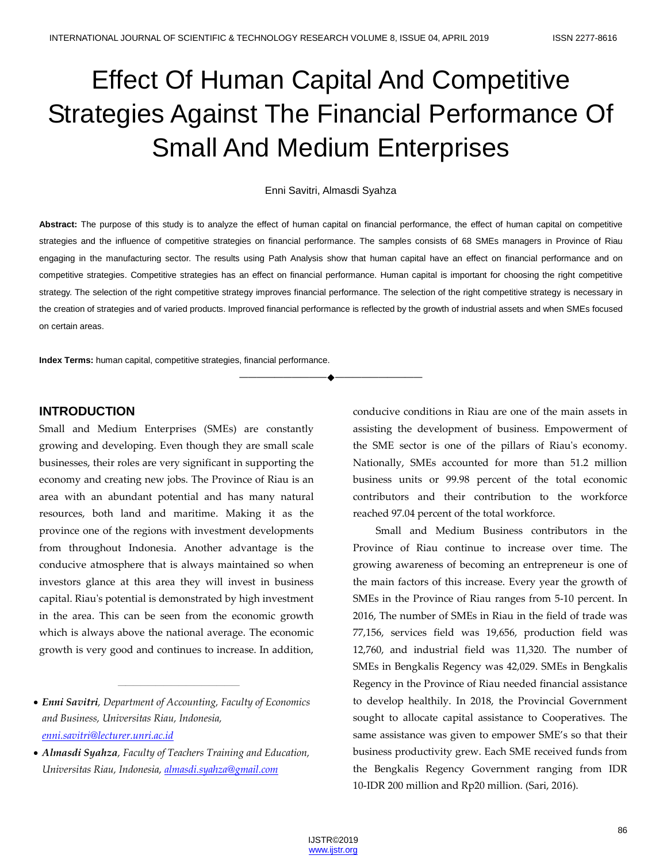# Effect Of Human Capital And Competitive Strategies Against The Financial Performance Of Small And Medium Enterprises

#### Enni Savitri, Almasdi Syahza

**Abstract:** The purpose of this study is to analyze the effect of human capital on financial performance, the effect of human capital on competitive strategies and the influence of competitive strategies on financial performance. The samples consists of 68 SMEs managers in Province of Riau engaging in the manufacturing sector. The results using Path Analysis show that human capital have an effect on financial performance and on competitive strategies. Competitive strategies has an effect on financial performance. Human capital is important for choosing the right competitive strategy. The selection of the right competitive strategy improves financial performance. The selection of the right competitive strategy is necessary in the creation of strategies and of varied products. Improved financial performance is reflected by the growth of industrial assets and when SMEs focused on certain areas.

————————————————————

**Index Terms:** human capital, competitive strategies, financial performance.

## **INTRODUCTION**

Small and Medium Enterprises (SMEs) are constantly growing and developing. Even though they are small scale businesses, their roles are very significant in supporting the economy and creating new jobs. The Province of Riau is an area with an abundant potential and has many natural resources, both land and maritime. Making it as the province one of the regions with investment developments from throughout Indonesia. Another advantage is the conducive atmosphere that is always maintained so when investors glance at this area they will invest in business capital. Riau's potential is demonstrated by high investment in the area. This can be seen from the economic growth which is always above the national average. The economic growth is very good and continues to increase. In addition,

————————————————

conducive conditions in Riau are one of the main assets in assisting the development of business. Empowerment of the SME sector is one of the pillars of Riau's economy. Nationally, SMEs accounted for more than 51.2 million business units or 99.98 percent of the total economic contributors and their contribution to the workforce reached 97.04 percent of the total workforce.

Small and Medium Business contributors in the Province of Riau continue to increase over time. The growing awareness of becoming an entrepreneur is one of the main factors of this increase. Every year the growth of SMEs in the Province of Riau ranges from 5-10 percent. In 2016, The number of SMEs in Riau in the field of trade was 77,156, services field was 19,656, production field was 12,760, and industrial field was 11,320. The number of SMEs in Bengkalis Regency was 42,029. SMEs in Bengkalis Regency in the Province of Riau needed financial assistance to develop healthily. In 2018, the Provincial Government sought to allocate capital assistance to Cooperatives. The same assistance was given to empower SME's so that their business productivity grew. Each SME received funds from the Bengkalis Regency Government ranging from IDR 10-IDR 200 million and Rp20 million. (Sari, 2016).

*Enni Savitri, Department of Accounting, Faculty of Economics and Business, Universitas Riau, Indonesia, [enni.savitri@lecturer.unri.ac.id](mailto:enni.savitri@lecturer.unri.ac.id)*

*Almasdi Syahza, Faculty of Teachers Training and Education, Universitas Riau, Indonesia, [almasdi.syahza@gmail.com](mailto:almasdi.syahza@gmail.com)*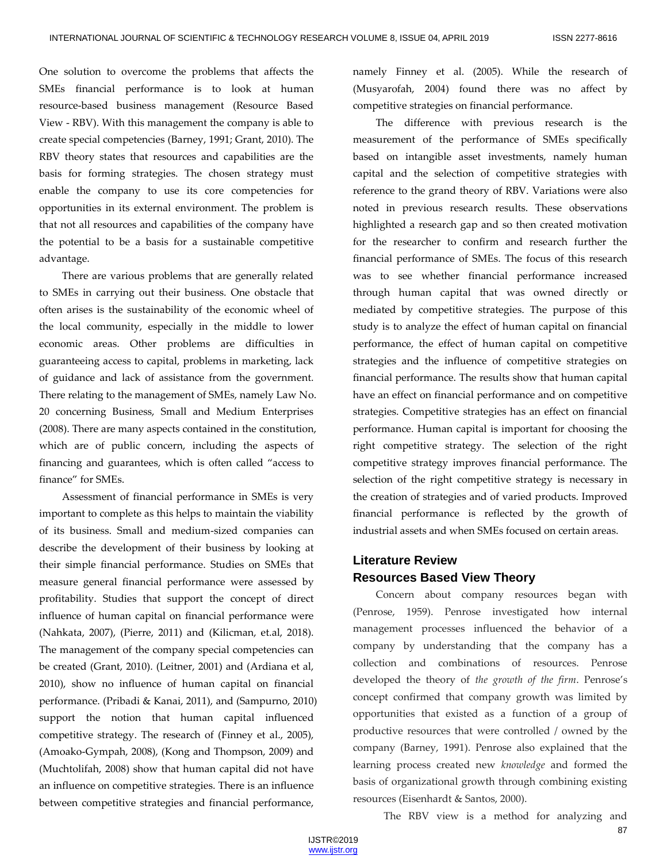One solution to overcome the problems that affects the SMEs financial performance is to look at human resource-based business management (Resource Based View - RBV). With this management the company is able to create special competencies (Barney, 1991; Grant, 2010). The RBV theory states that resources and capabilities are the basis for forming strategies. The chosen strategy must enable the company to use its core competencies for opportunities in its external environment. The problem is that not all resources and capabilities of the company have the potential to be a basis for a sustainable competitive advantage.

There are various problems that are generally related to SMEs in carrying out their business. One obstacle that often arises is the sustainability of the economic wheel of the local community, especially in the middle to lower economic areas. Other problems are difficulties in guaranteeing access to capital, problems in marketing, lack of guidance and lack of assistance from the government. There relating to the management of SMEs, namely Law No. 20 concerning Business, Small and Medium Enterprises (2008). There are many aspects contained in the constitution, which are of public concern, including the aspects of financing and guarantees, which is often called "access to finance" for SMEs.

Assessment of financial performance in SMEs is very important to complete as this helps to maintain the viability of its business. Small and medium-sized companies can describe the development of their business by looking at their simple financial performance. Studies on SMEs that measure general financial performance were assessed by profitability. Studies that support the concept of direct influence of human capital on financial performance were (Nahkata, 2007), (Pierre, 2011) and (Kilicman, et.al, 2018). The management of the company special competencies can be created (Grant, 2010). (Leitner, 2001) and (Ardiana et al, 2010), show no influence of human capital on financial performance. (Pribadi & Kanai, 2011), and (Sampurno, 2010) support the notion that human capital influenced competitive strategy. The research of (Finney et al., 2005), (Amoako-Gympah, 2008), (Kong and Thompson, 2009) and (Muchtolifah, 2008) show that human capital did not have an influence on competitive strategies. There is an influence between competitive strategies and financial performance,

namely Finney et al. (2005). While the research of (Musyarofah, 2004) found there was no affect by competitive strategies on financial performance.

The difference with previous research is the measurement of the performance of SMEs specifically based on intangible asset investments, namely human capital and the selection of competitive strategies with reference to the grand theory of RBV. Variations were also noted in previous research results. These observations highlighted a research gap and so then created motivation for the researcher to confirm and research further the financial performance of SMEs. The focus of this research was to see whether financial performance increased through human capital that was owned directly or mediated by competitive strategies. The purpose of this study is to analyze the effect of human capital on financial performance, the effect of human capital on competitive strategies and the influence of competitive strategies on financial performance. The results show that human capital have an effect on financial performance and on competitive strategies. Competitive strategies has an effect on financial performance. Human capital is important for choosing the right competitive strategy. The selection of the right competitive strategy improves financial performance. The selection of the right competitive strategy is necessary in the creation of strategies and of varied products. Improved financial performance is reflected by the growth of industrial assets and when SMEs focused on certain areas.

# **Literature Review Resources Based View Theory**

Concern about company resources began with (Penrose, 1959). Penrose investigated how internal management processes influenced the behavior of a company by understanding that the company has a collection and combinations of resources. Penrose developed the theory of *the growth of the firm*. Penrose's concept confirmed that company growth was limited by opportunities that existed as a function of a group of productive resources that were controlled / owned by the company (Barney, 1991). Penrose also explained that the learning process created new *knowledge* and formed the basis of organizational growth through combining existing resources (Eisenhardt & Santos, 2000).

The RBV view is a method for analyzing and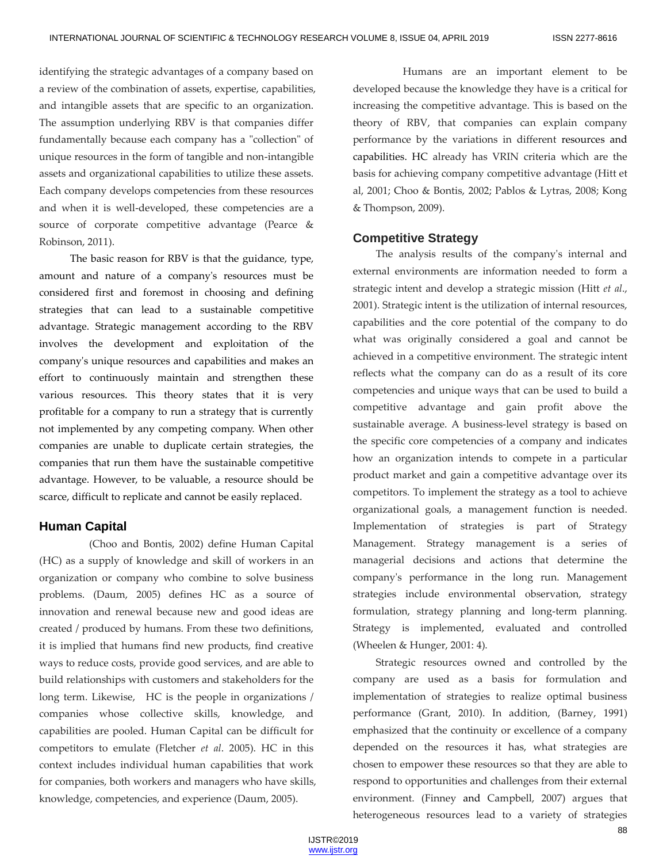identifying the strategic advantages of a company based on a review of the combination of assets, expertise, capabilities, and intangible assets that are specific to an organization. The assumption underlying RBV is that companies differ fundamentally because each company has a "collection" of unique resources in the form of tangible and non-intangible assets and organizational capabilities to utilize these assets. Each company develops competencies from these resources and when it is well-developed, these competencies are a source of corporate competitive advantage (Pearce & Robinson, 2011).

The basic reason for RBV is that the guidance, type, amount and nature of a company's resources must be considered first and foremost in choosing and defining strategies that can lead to a sustainable competitive advantage. Strategic management according to the RBV involves the development and exploitation of the company's unique resources and capabilities and makes an effort to continuously maintain and strengthen these various resources. This theory states that it is very profitable for a company to run a strategy that is currently not implemented by any competing company. When other companies are unable to duplicate certain strategies, the companies that run them have the sustainable competitive advantage. However, to be valuable, a resource should be scarce, difficult to replicate and cannot be easily replaced.

## **Human Capital**

(Choo and Bontis, 2002) define Human Capital (HC) as a supply of knowledge and skill of workers in an organization or company who combine to solve business problems. (Daum, 2005) defines HC as a source of innovation and renewal because new and good ideas are created / produced by humans. From these two definitions, it is implied that humans find new products, find creative ways to reduce costs, provide good services, and are able to build relationships with customers and stakeholders for the long term. Likewise, HC is the people in organizations / companies whose collective skills, knowledge, and capabilities are pooled. Human Capital can be difficult for competitors to emulate (Fletcher *et al*. 2005). HC in this context includes individual human capabilities that work for companies, both workers and managers who have skills, knowledge, competencies, and experience (Daum, 2005).

Humans are an important element to be developed because the knowledge they have is a critical for increasing the competitive advantage. This is based on the theory of RBV, that companies can explain company performance by the variations in different resources and capabilities. HC already has VRIN criteria which are the basis for achieving company competitive advantage (Hitt et al, 2001; Choo & Bontis, 2002; Pablos & Lytras, 2008; Kong & Thompson, 2009).

## **Competitive Strategy**

The analysis results of the company's internal and external environments are information needed to form a strategic intent and develop a strategic mission (Hitt *et al*., 2001). Strategic intent is the utilization of internal resources, capabilities and the core potential of the company to do what was originally considered a goal and cannot be achieved in a competitive environment. The strategic intent reflects what the company can do as a result of its core competencies and unique ways that can be used to build a competitive advantage and gain profit above the sustainable average. A business-level strategy is based on the specific core competencies of a company and indicates how an organization intends to compete in a particular product market and gain a competitive advantage over its competitors. To implement the strategy as a tool to achieve organizational goals, a management function is needed. Implementation of strategies is part of Strategy Management. Strategy management is a series of managerial decisions and actions that determine the company's performance in the long run. Management strategies include environmental observation, strategy formulation, strategy planning and long-term planning. Strategy is implemented, evaluated and controlled (Wheelen & Hunger, 2001: 4).

Strategic resources owned and controlled by the company are used as a basis for formulation and implementation of strategies to realize optimal business performance (Grant, 2010). In addition, (Barney, 1991) emphasized that the continuity or excellence of a company depended on the resources it has, what strategies are chosen to empower these resources so that they are able to respond to opportunities and challenges from their external environment. (Finney and Campbell, 2007) argues that heterogeneous resources lead to a variety of strategies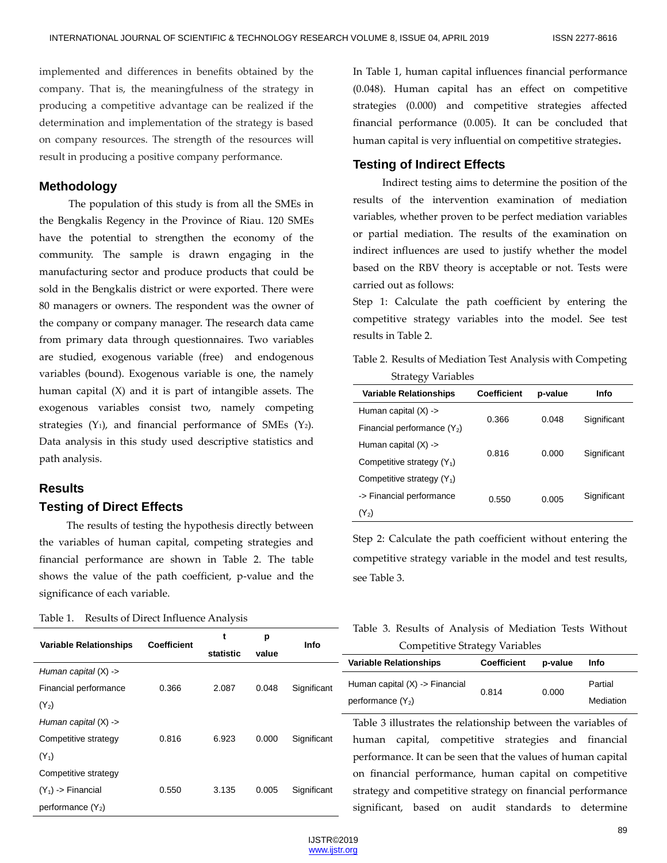implemented and differences in benefits obtained by the company. That is, the meaningfulness of the strategy in producing a competitive advantage can be realized if the determination and implementation of the strategy is based on company resources. The strength of the resources will result in producing a positive company performance.

## **Methodology**

The population of this study is from all the SMEs in the Bengkalis Regency in the Province of Riau. 120 SMEs have the potential to strengthen the economy of the community. The sample is drawn engaging in the manufacturing sector and produce products that could be sold in the Bengkalis district or were exported. There were 80 managers or owners. The respondent was the owner of the company or company manager. The research data came from primary data through questionnaires. Two variables are studied, exogenous variable (free) and endogenous variables (bound). Exogenous variable is one, the namely human capital (X) and it is part of intangible assets. The exogenous variables consist two, namely competing strategies  $(Y_1)$ , and financial performance of SMEs  $(Y_2)$ . Data analysis in this study used descriptive statistics and path analysis.

## **Results**

## **Testing of Direct Effects**

The results of testing the hypothesis directly between the variables of human capital, competing strategies and financial performance are shown in Table 2. The table shows the value of the path coefficient, p-value and the significance of each variable.

**t**

**p**

|  | Table 1. |  |  | Results of Direct Influence Analysis |  |
|--|----------|--|--|--------------------------------------|--|
|--|----------|--|--|--------------------------------------|--|

**Variable Relationships Coefficient**

In Table 1, human capital influences financial performance (0.048). Human capital has an effect on competitive strategies (0.000) and competitive strategies affected financial performance (0.005). It can be concluded that human capital is very influential on competitive strategies.

## **Testing of Indirect Effects**

Indirect testing aims to determine the position of the results of the intervention examination of mediation variables, whether proven to be perfect mediation variables or partial mediation. The results of the examination on indirect influences are used to justify whether the model based on the RBV theory is acceptable or not. Tests were carried out as follows:

Step 1: Calculate the path coefficient by entering the competitive strategy variables into the model. See test results in Table 2.

Table 2. Results of Mediation Test Analysis with Competing Strategy Variables

| <b>Variable Relationships</b> | Coefficient | p-value | Info        |  |
|-------------------------------|-------------|---------|-------------|--|
| Human capital $(X)$ ->        | 0.366       | 0.048   | Significant |  |
| Financial performance $(Y_2)$ |             |         |             |  |
| Human capital $(X)$ ->        |             |         | Significant |  |
| Competitive strategy $(Y_1)$  | 0.816       | 0.000   |             |  |
| Competitive strategy $(Y_1)$  |             |         |             |  |
| -> Financial performance      | 0.550       | 0.005   | Significant |  |
| $(Y_2)$                       |             |         |             |  |

Step 2: Calculate the path coefficient without entering the competitive strategy variable in the model and test results, see Table 3.

|                                       |  |  |  |  |  | Table 3. Results of Analysis of Mediation Tests Without |  |  |
|---------------------------------------|--|--|--|--|--|---------------------------------------------------------|--|--|
| <b>Competitive Strategy Variables</b> |  |  |  |  |  |                                                         |  |  |

|                        |       | statistic | value |             | S<br>.                                                        |                    |         |           |
|------------------------|-------|-----------|-------|-------------|---------------------------------------------------------------|--------------------|---------|-----------|
|                        |       |           |       |             | <b>Variable Relationships</b>                                 | <b>Coefficient</b> | p-value | Info      |
| Human capital $(X)$ -> |       |           |       |             |                                                               |                    |         | Partial   |
| Financial performance  | 0.366 | 2.087     | 0.048 | Significant | Human capital $(X)$ > Financial                               | 0.814              | 0.000   |           |
| $(Y_2)$                |       |           |       |             | performance $(Y_2)$                                           |                    |         | Mediation |
| Human capital $(X)$ -> |       |           |       |             | Table 3 illustrates the relationship between the variables of |                    |         |           |
| Competitive strategy   | 0.816 | 6.923     | 0.000 | Significant | competitive<br>capital,<br>human                              | strategies         | and     | financial |
| $(Y_1)$                |       |           |       |             | performance. It can be seen that the values of human capital  |                    |         |           |
| Competitive strategy   |       |           |       |             | on financial performance, human capital on competitive        |                    |         |           |
| $(Y_1)$ > Financial    | 0.550 | 3.135     | 0.005 | Significant | strategy and competitive strategy on financial performance    |                    |         |           |
| performance $(Y_2)$    |       |           |       |             | significant, based                                            | on audit standards | to      | determine |

**Info**

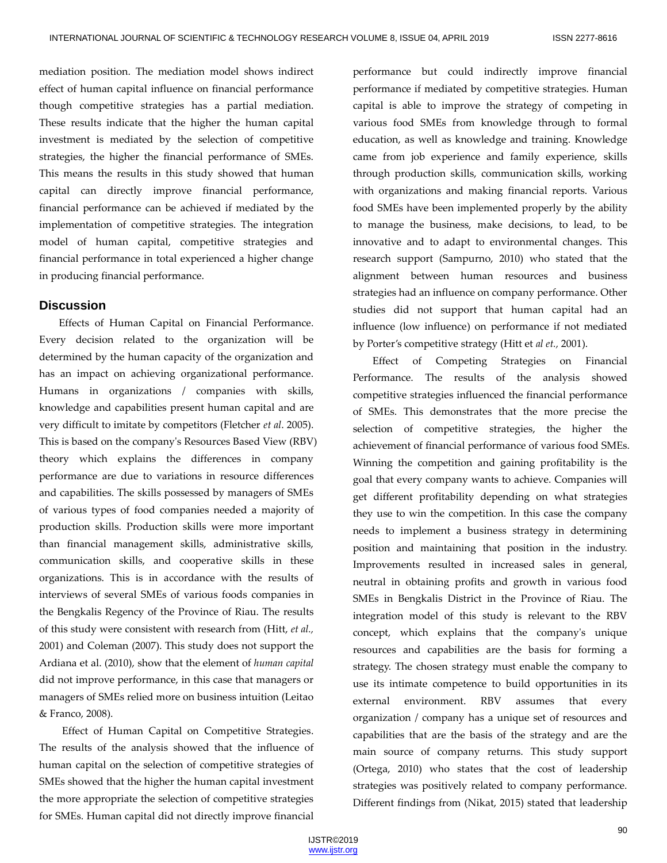mediation position. The mediation model shows indirect effect of human capital influence on financial performance though competitive strategies has a partial mediation. These results indicate that the higher the human capital investment is mediated by the selection of competitive strategies, the higher the financial performance of SMEs. This means the results in this study showed that human capital can directly improve financial performance, financial performance can be achieved if mediated by the implementation of competitive strategies. The integration model of human capital, competitive strategies and financial performance in total experienced a higher change in producing financial performance.

## **Discussion**

Effects of Human Capital on Financial Performance. Every decision related to the organization will be determined by the human capacity of the organization and has an impact on achieving organizational performance. Humans in organizations / companies with skills, knowledge and capabilities present human capital and are very difficult to imitate by competitors (Fletcher *et al*. 2005). This is based on the company's Resources Based View (RBV) theory which explains the differences in company performance are due to variations in resource differences and capabilities. The skills possessed by managers of SMEs of various types of food companies needed a majority of production skills. Production skills were more important than financial management skills, administrative skills, communication skills, and cooperative skills in these organizations. This is in accordance with the results of interviews of several SMEs of various foods companies in the Bengkalis Regency of the Province of Riau. The results of this study were consistent with research from (Hitt, *et al.,* 2001) and Coleman (2007). This study does not support the Ardiana et al. (2010), show that the element of *human capital* did not improve performance, in this case that managers or managers of SMEs relied more on business intuition (Leitao & Franco, 2008).

Effect of Human Capital on Competitive Strategies. The results of the analysis showed that the influence of human capital on the selection of competitive strategies of SMEs showed that the higher the human capital investment the more appropriate the selection of competitive strategies for SMEs. Human capital did not directly improve financial performance but could indirectly improve financial performance if mediated by competitive strategies. Human capital is able to improve the strategy of competing in various food SMEs from knowledge through to formal education, as well as knowledge and training. Knowledge came from job experience and family experience, skills through production skills, communication skills, working with organizations and making financial reports. Various food SMEs have been implemented properly by the ability to manage the business, make decisions, to lead, to be innovative and to adapt to environmental changes. This research support (Sampurno, 2010) who stated that the alignment between human resources and business strategies had an influence on company performance. Other studies did not support that human capital had an influence (low influence) on performance if not mediated by Porter's competitive strategy (Hitt et *al et.,* 2001).

Effect of Competing Strategies on Financial Performance. The results of the analysis showed competitive strategies influenced the financial performance of SMEs. This demonstrates that the more precise the selection of competitive strategies, the higher the achievement of financial performance of various food SMEs. Winning the competition and gaining profitability is the goal that every company wants to achieve. Companies will get different profitability depending on what strategies they use to win the competition. In this case the company needs to implement a business strategy in determining position and maintaining that position in the industry. Improvements resulted in increased sales in general, neutral in obtaining profits and growth in various food SMEs in Bengkalis District in the Province of Riau. The integration model of this study is relevant to the RBV concept, which explains that the company's unique resources and capabilities are the basis for forming a strategy. The chosen strategy must enable the company to use its intimate competence to build opportunities in its external environment. RBV assumes that every organization / company has a unique set of resources and capabilities that are the basis of the strategy and are the main source of company returns. This study support (Ortega, 2010) who states that the cost of leadership strategies was positively related to company performance. Different findings from (Nikat, 2015) stated that leadership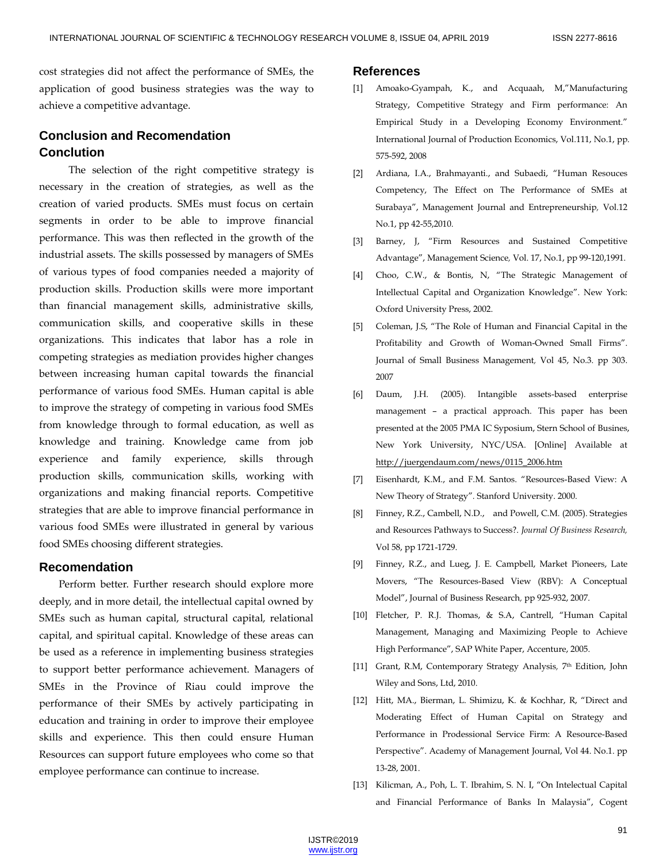cost strategies did not affect the performance of SMEs, the application of good business strategies was the way to achieve a competitive advantage.

## **Conclusion and Recomendation Conclution**

The selection of the right competitive strategy is necessary in the creation of strategies, as well as the creation of varied products. SMEs must focus on certain segments in order to be able to improve financial performance. This was then reflected in the growth of the industrial assets. The skills possessed by managers of SMEs of various types of food companies needed a majority of production skills. Production skills were more important than financial management skills, administrative skills, communication skills, and cooperative skills in these organizations. This indicates that labor has a role in competing strategies as mediation provides higher changes between increasing human capital towards the financial performance of various food SMEs. Human capital is able to improve the strategy of competing in various food SMEs from knowledge through to formal education, as well as knowledge and training. Knowledge came from job experience and family experience, skills through production skills, communication skills, working with organizations and making financial reports. Competitive strategies that are able to improve financial performance in various food SMEs were illustrated in general by various food SMEs choosing different strategies.

## **Recomendation**

Perform better. Further research should explore more deeply, and in more detail, the intellectual capital owned by SMEs such as human capital, structural capital, relational capital, and spiritual capital. Knowledge of these areas can be used as a reference in implementing business strategies to support better performance achievement. Managers of SMEs in the Province of Riau could improve the performance of their SMEs by actively participating in education and training in order to improve their employee skills and experience. This then could ensure Human Resources can support future employees who come so that employee performance can continue to increase.

### **References**

- [1] Amoako-Gyampah, K., and Acquaah, M,"Manufacturing Strategy, Competitive Strategy and Firm performance: An Empirical Study in a Developing Economy Environment." International Journal of Production Economics, Vol.111, No.1, pp. 575-592, 2008
- [2] Ardiana, I.A., Brahmayanti., and Subaedi, "Human Resouces Competency, The Effect on The Performance of SMEs at Surabaya", Management Journal and Entrepreneurship*,* Vol.12 No.1, pp 42-55,2010.
- [3] Barney, J, "Firm Resources and Sustained Competitive Advantage", Management Science*,* Vol. 17, No.1, pp 99-120,1991.
- [4] Choo, C.W., & Bontis, N, "The Strategic Management of Intellectual Capital and Organization Knowledge". New York: Oxford University Press, 2002.
- [5] Coleman, J.S, "The Role of Human and Financial Capital in the Profitability and Growth of Woman-Owned Small Firms". Journal of Small Business Management*,* Vol 45, No.3. pp 303. 2007
- [6] Daum, J.H. (2005). Intangible assets-based enterprise management – a practical approach. This paper has been presented at the 2005 PMA IC Syposium, Stern School of Busines, New York University, NYC/USA. [Online] Available at [http://juergendaum.com/news/0115\\_2006.htm](http://juergendaum.com/news/0115_2006.htm)
- [7] Eisenhardt, K.M., and F.M. Santos. "Resources-Based View: A New Theory of Strategy"*.* Stanford University. 2000.
- [8] Finney, R.Z., Cambell, N.D., and Powell, C.M. (2005). Strategies and Resources Pathways to Success?. *Journal Of Business Research,*  Vol 58, pp 1721-1729.
- [9] Finney, R.Z., and Lueg, J. E. Campbell, Market Pioneers, Late Movers, "The Resources-Based View (RBV): A Conceptual Model", Journal of Business Research*,* pp 925-932, 2007.
- [10] Fletcher, P. R.J. Thomas, & S.A, Cantrell, "Human Capital Management, Managing and Maximizing People to Achieve High Performance", SAP White Paper, Accenture, 2005.
- [11] Grant, R.M, Contemporary Strategy Analysis, 7<sup>th</sup> Edition, John Wiley and Sons, Ltd, 2010.
- [12] Hitt, MA., Bierman, L. Shimizu, K. & Kochhar, R, "Direct and Moderating Effect of Human Capital on Strategy and Performance in Prodessional Service Firm: A Resource-Based Perspective". Academy of Management Journal, Vol 44. No.1. pp 13-28, 2001.
- [13] Kilicman, A., Poh, L. T. Ibrahim, S. N. I, "On Intelectual Capital and Financial Performance of Banks In Malaysia", Cogent